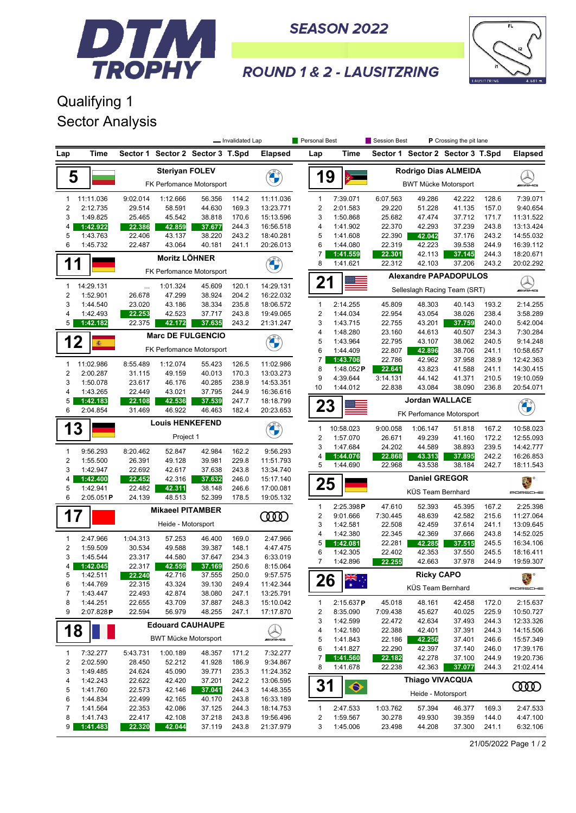

**SEASON 2022** 



## **ROUND 1 & 2 - LAUSITZRING**

## Qualifying 1 Sector Analysis

| Time<br>Time<br>Sector 1 Sector 2 Sector 3 T.Spd<br><b>Elapsed</b><br>Sector 1<br>Sector 2 Sector 3 T.Spd<br><b>Elapsed</b><br>Lap<br>Lap<br><b>Steriyan FOLEV</b><br>Rodrigo Dias ALMEIDA<br><b>CALCIO</b><br>19<br>5<br>FK Perfomance Motorsport<br><b>BWT Mücke Motorsport</b><br>11:11.036<br>7:39.071<br>11:11.036<br>9:02.014<br>1:12.666<br>56.356<br>114.2<br>1<br>6:07.563<br>49.286<br>42.222<br>128.6<br>7:39.071<br>$\mathbf{1}$<br>$\overline{2}$<br>$\overline{2}$<br>2:12.735<br>29.514<br>58.591<br>44.630<br>169.3<br>13:23.771<br>2:01.583<br>29.220<br>51.228<br>41.135<br>157.0<br>9:40.654<br>3<br>3<br>25.465<br>45.542<br>38.818<br>170.6<br>25.682<br>47.474<br>171.7<br>11:31.522<br>1:49.825<br>15:13.596<br>1:50.868<br>37.712<br>22.370<br>42.293<br>37.239<br>243.8<br>4<br>1:42.922<br>22.386<br>42.859<br>37.677<br>244.3<br>16:56.518<br>4<br>1:41.902<br>13:13.424<br>38.220<br>22.390<br>5<br>1:43.763<br>22.406<br>43.137<br>243.2<br>18:40.281<br>5<br>1:41.608<br>42.042<br>37.176<br>243.2<br>14:55.032<br>6<br>42.223<br>6<br>1:45.732<br>22.487<br>43.064<br>40.181<br>20:26.013<br>1:44.080<br>22.319<br>39.538<br>244.9<br>16:39.112<br>241.1<br>7<br>244.3<br>18:20.671<br>1:41.559<br>22.301<br>42.113<br>37.145<br><b>Moritz LÖHNER</b><br><b>CALCIO</b><br>1<br>1<br>22.312<br>37.206<br>8<br>1:41.621<br>42.103<br>243.2<br>20:02.292<br>FK Perfomance Motorsport<br><b>Alexandre PAPADOPULOS</b><br>21<br>14:29.131<br>14:29.131<br>1:01.324<br>45.609<br>120.1<br>$\mathbf{1}$<br><br><i><b>MADAG</b></i><br>Selleslagh Racing Team (SRT)<br>$\overline{2}$<br>1:52.901<br>47.299<br>38.924<br>204.2<br>16:22.032<br>26.678<br>3<br>1:44.540<br>38.334<br>235.8<br>1<br>2:14.255<br>45.809<br>193.2<br>2:14.255<br>23.020<br>43.186<br>18:06.572<br>48.303<br>40.143<br>$\overline{2}$<br>$\overline{4}$<br>1:42.493<br>22.253<br>42.523<br>243.8<br>19:49.065<br>1:44.034<br>22.954<br>43.054<br>38.026<br>238.4<br>3:58.289<br>37.717<br>5<br>22.375<br>243.2<br>21:31.247<br>3<br>1:43.715<br>22.755<br>43.201<br>240.0<br>5:42.004<br>1:42.182<br>42.172<br>37.635<br>37.759<br>4<br>1:48.280<br>23.160<br>40.507<br>234.3<br>7:30.284<br>44.613<br><b>Marc DE FULGENCIO</b><br>12<br><b>CONTRACTOR</b><br>5<br>1:43.964<br>22.795<br>43.107<br>38.062<br>240.5<br>9:14.248<br>蠢<br>FK Perfomance Motorsport<br>6<br>1:44.409<br>22.807<br>38.706<br>241.1<br>10:58.657<br>42.896<br>7<br>22.786<br>238.9<br>1:43.706<br>42.962<br>37.958<br>12:42.363<br>11:02.986<br>8:55.489<br>1:12.074<br>11:02.986<br>1<br>55.423<br>126.5<br>8<br>1:48.052P<br>22.641<br>43.823<br>241.1<br>14:30.415<br>41.588<br>$\overline{2}$<br>2:00.287<br>31.115<br>49.159<br>40.013<br>170.3<br>13:03.273<br>9<br>4:39.644<br>3:14.131<br>44.142<br>41.371<br>210.5<br>19:10.059<br>3<br>23.617<br>46.176<br>40.285<br>238.9<br>14:53.351<br>1:50.078<br>10<br>1:44.012<br>22.838<br>43.084<br>38.090<br>20:54.071<br>236.8<br>37.795<br>244.9<br>4<br>1:43.265<br>22.449<br>43.021<br>16:36.616<br><b>Jordan WALLACE</b><br>5<br>247.7<br>1:42.183<br>22.108<br>42.536<br>37.539<br>18:18.799<br>Company of<br>23<br>6<br>2:04.854<br>31.469<br>46.922<br>46.463<br>182.4<br>20:23.653<br>FK Perfomance Motorsport<br><b>Louis HENKEFEND</b><br>3<br>1<br>10:58.023<br>9:00.058<br>1:06.147<br>167.2<br>10:58.023<br>1<br>51.818<br>Project 1<br>$\overline{2}$<br>1:57.070<br>26.671<br>49.239<br>172.2<br>12:55.093<br>41.160<br>3<br>1:47.684<br>239.5<br>24.202<br>44.589<br>38.893<br>14:42.777<br>9:56.293<br>$\mathbf{1}$<br>9:56.293<br>8:20.462<br>52.847<br>42.984<br>162.2<br>4<br>242.2<br>16:26.853<br>1:44.076<br>22.868<br>43.313<br>37.895<br>$\overline{2}$<br>39.981<br>1:55.500<br>26.391<br>49.128<br>229.8<br>11:51.793<br>5<br>1:44.690<br>22.968<br>43.538<br>38.184<br>242.7<br>18:11.543<br>3<br>1:42.947<br>22.692<br>42.617<br>37.638<br>243.8<br>13:34.740<br><b>Daniel GREGOR</b><br>15:17.140<br>4<br>1:42.400<br>22.452<br>42.316<br>37.632<br>246.0<br>薨<br>25<br>5<br>1:42.941<br>22.482<br>38.148<br>246.6<br>17:00.081<br>42.311<br>KÜS Team Bernhard<br>PORSCHE<br>6<br>2:05.051P<br>24.139<br>48.513<br>52.399<br>178.5<br>19:05.132<br>2:25.398<br>$\mathbf{1}$<br>2:25.398P<br>47.610<br>52.393<br>167.2<br>45.395<br><b>Mikaeel PITAMBER</b><br>17<br><b>COOD</b><br>$\overline{c}$<br>9:01.666<br>7:30.445<br>48.639<br>42.582<br>215.6<br>11:27.064<br>Heide - Motorsport<br>3<br>1:42.581<br>22.508<br>42.459<br>37.614<br>241.1<br>13:09.645<br>4<br>42.369<br>1:42.380<br>22.345<br>37.666<br>243.8<br>14:52.025<br>2:47.966<br>1:04.313<br>57.253<br>169.0<br>2:47.966<br>1<br>46.400<br>22.281<br>5<br>1:42.081<br>42.285<br>37.515<br>245.5<br>16:34.106<br>$\overline{2}$<br>1:59.509<br>30.534<br>49.588<br>39.387<br>148.1<br>4:47.475<br>6<br>1:42.305<br>22.402<br>42.353<br>37.550<br>245.5<br>18:16.411<br>3<br>1:45.544<br>23.317<br>44.580<br>37.647<br>234.3<br>6:33.019<br>$\overline{7}$<br>1:42.896<br>22.255<br>42.663<br>37.978<br>244.9<br>19:59.307<br>1:42.045<br>22.317<br>42.559<br>37.169<br>250.6<br>4<br>8:15.064<br>5<br>1:42.511<br>22.240<br>42.716<br>37.555<br>250.0<br>9:57.575<br><b>Ricky CAPO</b><br>靏<br>▓▓<br>26<br>6<br>22.315<br>43.324<br>11:42.344<br>1:44.769<br>39.130<br>249.4<br>KÜS Team Bernhard<br>PORSCHE<br>$\overline{7}$<br>1:43.447<br>22.493<br>42.874<br>38.080<br>247.1<br>13:25.791<br>8<br>1:44.251<br>22.655<br>37.887<br>15:10.042<br>45.018<br>43.709<br>248.3<br>2:15.637P<br>48.161<br>42.458<br>172.0<br>2:15.637<br>1<br>9<br>22.594<br>2<br>$2:07.828$ P<br>56.979<br>48.255<br>247.1<br>17:17.870<br>8:35.090<br>7:09.438<br>45.627<br>40.025<br>225.9<br>10:50.727<br>3<br>1:42.599<br>22.472<br>42.634<br>37.493<br>244.3<br>12:33.326<br><b>Edouard CAUHAUPE</b><br>18<br>22.388<br>4<br>1:42.180<br>42.401<br>37.391<br>244.3<br>14:15.506<br><b>BWT Mücke Motorsport</b><br><i>enie</i> Ms<br>5<br>1:41.843<br>22.186<br>42.256<br>37.401<br>246.6<br>15:57.349<br>6<br>1:41.827<br>22.290<br>42.397<br>17:39.176<br>37.140<br>246.0<br>$\mathbf{1}$<br>7:32.277<br>5:43.731<br>1:00.189<br>48.357<br>171.2<br>7:32.277<br>42.278<br>244.9<br>19:20.736<br>7<br>1:41.560<br>22.182<br>37.100<br>2<br>2:02.590<br>52.212<br>9:34.867<br>28.450<br>41.928<br>186.9<br>8<br>1:41.678<br>22.238<br>42.363<br>244.3<br>21:02.414<br>37.077<br>3<br>24.624<br>1:49.485<br>45.090<br>39.771<br>235.3<br>11:24.352<br>Thiago VIVACQUA<br>1:42.243<br>22.622<br>42.420<br>37.201<br>4<br>242.2<br>13:06.595<br>31<br>$\blacklozenge$<br>ഝ<br>5<br>1:41.760<br>22.573<br>42.146<br>244.3<br>14:48.355<br>37.041<br>Heide - Motorsport<br>6<br>1:44.834<br>22.499<br>42.165<br>40.170<br>243.8<br>16:33.189<br>7<br>57.394<br>1:41.564<br>22.353<br>42.086<br>37.125<br>244.3<br>18:14.753<br>$\mathbf{1}$<br>2:47.533<br>1:03.762<br>46.377<br>169.3<br>2:47.533<br>8<br>42.108<br>37.218<br>243.8<br>2<br>1:59.567<br>30.278<br>49.930<br>1:41.743<br>22.417<br>19:56.496<br>39.359<br>144.0<br>4:47.100<br>9 |          |        |        |        | - Invalidated Lap |           | Personal Best |          | <b>Session Best</b> |        | P Crossing the pit lane |       |          |
|----------------------------------------------------------------------------------------------------------------------------------------------------------------------------------------------------------------------------------------------------------------------------------------------------------------------------------------------------------------------------------------------------------------------------------------------------------------------------------------------------------------------------------------------------------------------------------------------------------------------------------------------------------------------------------------------------------------------------------------------------------------------------------------------------------------------------------------------------------------------------------------------------------------------------------------------------------------------------------------------------------------------------------------------------------------------------------------------------------------------------------------------------------------------------------------------------------------------------------------------------------------------------------------------------------------------------------------------------------------------------------------------------------------------------------------------------------------------------------------------------------------------------------------------------------------------------------------------------------------------------------------------------------------------------------------------------------------------------------------------------------------------------------------------------------------------------------------------------------------------------------------------------------------------------------------------------------------------------------------------------------------------------------------------------------------------------------------------------------------------------------------------------------------------------------------------------------------------------------------------------------------------------------------------------------------------------------------------------------------------------------------------------------------------------------------------------------------------------------------------------------------------------------------------------------------------------------------------------------------------------------------------------------------------------------------------------------------------------------------------------------------------------------------------------------------------------------------------------------------------------------------------------------------------------------------------------------------------------------------------------------------------------------------------------------------------------------------------------------------------------------------------------------------------------------------------------------------------------------------------------------------------------------------------------------------------------------------------------------------------------------------------------------------------------------------------------------------------------------------------------------------------------------------------------------------------------------------------------------------------------------------------------------------------------------------------------------------------------------------------------------------------------------------------------------------------------------------------------------------------------------------------------------------------------------------------------------------------------------------------------------------------------------------------------------------------------------------------------------------------------------------------------------------------------------------------------------------------------------------------------------------------------------------------------------------------------------------------------------------------------------------------------------------------------------------------------------------------------------------------------------------------------------------------------------------------------------------------------------------------------------------------------------------------------------------------------------------------------------------------------------------------------------------------------------------------------------------------------------------------------------------------------------------------------------------------------------------------------------------------------------------------------------------------------------------------------------------------------------------------------------------------------------------------------------------------------------------------------------------------------------------------------------------------------------------------------------------------------------------------------------------------------------------------------------------------------------------------------------------------------------------------------------------------------------------------------------------------------------------------------------------------------------------------------------------------------------------------------------------------------------------------------------------------------------------------------------------------------------------------------------------------------------------------------------------------------------------------------------------------------------------------------------------------------------------------------------------------------------------------------------------------------------------------------------------------------------------------------------------------------------------------------------------------------------------------------------------------------------------------------------------------------------------------------------------------------------------------------------------------------------------------------------------------------------------------------------------------------------------------------------------------------------------------------------------------------------------------------------------------------------------------------------------------------------------------------------------------------------------------------------------------------------------------------------------------------------------------------------------------------------------------------------------------------------------|----------|--------|--------|--------|-------------------|-----------|---------------|----------|---------------------|--------|-------------------------|-------|----------|
|                                                                                                                                                                                                                                                                                                                                                                                                                                                                                                                                                                                                                                                                                                                                                                                                                                                                                                                                                                                                                                                                                                                                                                                                                                                                                                                                                                                                                                                                                                                                                                                                                                                                                                                                                                                                                                                                                                                                                                                                                                                                                                                                                                                                                                                                                                                                                                                                                                                                                                                                                                                                                                                                                                                                                                                                                                                                                                                                                                                                                                                                                                                                                                                                                                                                                                                                                                                                                                                                                                                                                                                                                                                                                                                                                                                                                                                                                                                                                                                                                                                                                                                                                                                                                                                                                                                                                                                                                                                                                                                                                                                                                                                                                                                                                                                                                                                                                                                                                                                                                                                                                                                                                                                                                                                                                                                                                                                                                                                                                                                                                                                                                                                                                                                                                                                                                                                                                                                                                                                                                                                                                                                                                                                                                                                                                                                                                                                                                                                                                                                                                                                                                                                                                                                                                                                                                                                                                                                                                                                                                                                                |          |        |        |        |                   |           |               |          |                     |        |                         |       |          |
|                                                                                                                                                                                                                                                                                                                                                                                                                                                                                                                                                                                                                                                                                                                                                                                                                                                                                                                                                                                                                                                                                                                                                                                                                                                                                                                                                                                                                                                                                                                                                                                                                                                                                                                                                                                                                                                                                                                                                                                                                                                                                                                                                                                                                                                                                                                                                                                                                                                                                                                                                                                                                                                                                                                                                                                                                                                                                                                                                                                                                                                                                                                                                                                                                                                                                                                                                                                                                                                                                                                                                                                                                                                                                                                                                                                                                                                                                                                                                                                                                                                                                                                                                                                                                                                                                                                                                                                                                                                                                                                                                                                                                                                                                                                                                                                                                                                                                                                                                                                                                                                                                                                                                                                                                                                                                                                                                                                                                                                                                                                                                                                                                                                                                                                                                                                                                                                                                                                                                                                                                                                                                                                                                                                                                                                                                                                                                                                                                                                                                                                                                                                                                                                                                                                                                                                                                                                                                                                                                                                                                                                                |          |        |        |        |                   |           |               |          |                     |        |                         |       |          |
|                                                                                                                                                                                                                                                                                                                                                                                                                                                                                                                                                                                                                                                                                                                                                                                                                                                                                                                                                                                                                                                                                                                                                                                                                                                                                                                                                                                                                                                                                                                                                                                                                                                                                                                                                                                                                                                                                                                                                                                                                                                                                                                                                                                                                                                                                                                                                                                                                                                                                                                                                                                                                                                                                                                                                                                                                                                                                                                                                                                                                                                                                                                                                                                                                                                                                                                                                                                                                                                                                                                                                                                                                                                                                                                                                                                                                                                                                                                                                                                                                                                                                                                                                                                                                                                                                                                                                                                                                                                                                                                                                                                                                                                                                                                                                                                                                                                                                                                                                                                                                                                                                                                                                                                                                                                                                                                                                                                                                                                                                                                                                                                                                                                                                                                                                                                                                                                                                                                                                                                                                                                                                                                                                                                                                                                                                                                                                                                                                                                                                                                                                                                                                                                                                                                                                                                                                                                                                                                                                                                                                                                                |          |        |        |        |                   |           |               |          |                     |        |                         |       |          |
|                                                                                                                                                                                                                                                                                                                                                                                                                                                                                                                                                                                                                                                                                                                                                                                                                                                                                                                                                                                                                                                                                                                                                                                                                                                                                                                                                                                                                                                                                                                                                                                                                                                                                                                                                                                                                                                                                                                                                                                                                                                                                                                                                                                                                                                                                                                                                                                                                                                                                                                                                                                                                                                                                                                                                                                                                                                                                                                                                                                                                                                                                                                                                                                                                                                                                                                                                                                                                                                                                                                                                                                                                                                                                                                                                                                                                                                                                                                                                                                                                                                                                                                                                                                                                                                                                                                                                                                                                                                                                                                                                                                                                                                                                                                                                                                                                                                                                                                                                                                                                                                                                                                                                                                                                                                                                                                                                                                                                                                                                                                                                                                                                                                                                                                                                                                                                                                                                                                                                                                                                                                                                                                                                                                                                                                                                                                                                                                                                                                                                                                                                                                                                                                                                                                                                                                                                                                                                                                                                                                                                                                                |          |        |        |        |                   |           |               |          |                     |        |                         |       |          |
|                                                                                                                                                                                                                                                                                                                                                                                                                                                                                                                                                                                                                                                                                                                                                                                                                                                                                                                                                                                                                                                                                                                                                                                                                                                                                                                                                                                                                                                                                                                                                                                                                                                                                                                                                                                                                                                                                                                                                                                                                                                                                                                                                                                                                                                                                                                                                                                                                                                                                                                                                                                                                                                                                                                                                                                                                                                                                                                                                                                                                                                                                                                                                                                                                                                                                                                                                                                                                                                                                                                                                                                                                                                                                                                                                                                                                                                                                                                                                                                                                                                                                                                                                                                                                                                                                                                                                                                                                                                                                                                                                                                                                                                                                                                                                                                                                                                                                                                                                                                                                                                                                                                                                                                                                                                                                                                                                                                                                                                                                                                                                                                                                                                                                                                                                                                                                                                                                                                                                                                                                                                                                                                                                                                                                                                                                                                                                                                                                                                                                                                                                                                                                                                                                                                                                                                                                                                                                                                                                                                                                                                                |          |        |        |        |                   |           |               |          |                     |        |                         |       |          |
|                                                                                                                                                                                                                                                                                                                                                                                                                                                                                                                                                                                                                                                                                                                                                                                                                                                                                                                                                                                                                                                                                                                                                                                                                                                                                                                                                                                                                                                                                                                                                                                                                                                                                                                                                                                                                                                                                                                                                                                                                                                                                                                                                                                                                                                                                                                                                                                                                                                                                                                                                                                                                                                                                                                                                                                                                                                                                                                                                                                                                                                                                                                                                                                                                                                                                                                                                                                                                                                                                                                                                                                                                                                                                                                                                                                                                                                                                                                                                                                                                                                                                                                                                                                                                                                                                                                                                                                                                                                                                                                                                                                                                                                                                                                                                                                                                                                                                                                                                                                                                                                                                                                                                                                                                                                                                                                                                                                                                                                                                                                                                                                                                                                                                                                                                                                                                                                                                                                                                                                                                                                                                                                                                                                                                                                                                                                                                                                                                                                                                                                                                                                                                                                                                                                                                                                                                                                                                                                                                                                                                                                                |          |        |        |        |                   |           |               |          |                     |        |                         |       |          |
|                                                                                                                                                                                                                                                                                                                                                                                                                                                                                                                                                                                                                                                                                                                                                                                                                                                                                                                                                                                                                                                                                                                                                                                                                                                                                                                                                                                                                                                                                                                                                                                                                                                                                                                                                                                                                                                                                                                                                                                                                                                                                                                                                                                                                                                                                                                                                                                                                                                                                                                                                                                                                                                                                                                                                                                                                                                                                                                                                                                                                                                                                                                                                                                                                                                                                                                                                                                                                                                                                                                                                                                                                                                                                                                                                                                                                                                                                                                                                                                                                                                                                                                                                                                                                                                                                                                                                                                                                                                                                                                                                                                                                                                                                                                                                                                                                                                                                                                                                                                                                                                                                                                                                                                                                                                                                                                                                                                                                                                                                                                                                                                                                                                                                                                                                                                                                                                                                                                                                                                                                                                                                                                                                                                                                                                                                                                                                                                                                                                                                                                                                                                                                                                                                                                                                                                                                                                                                                                                                                                                                                                                |          |        |        |        |                   |           |               |          |                     |        |                         |       |          |
|                                                                                                                                                                                                                                                                                                                                                                                                                                                                                                                                                                                                                                                                                                                                                                                                                                                                                                                                                                                                                                                                                                                                                                                                                                                                                                                                                                                                                                                                                                                                                                                                                                                                                                                                                                                                                                                                                                                                                                                                                                                                                                                                                                                                                                                                                                                                                                                                                                                                                                                                                                                                                                                                                                                                                                                                                                                                                                                                                                                                                                                                                                                                                                                                                                                                                                                                                                                                                                                                                                                                                                                                                                                                                                                                                                                                                                                                                                                                                                                                                                                                                                                                                                                                                                                                                                                                                                                                                                                                                                                                                                                                                                                                                                                                                                                                                                                                                                                                                                                                                                                                                                                                                                                                                                                                                                                                                                                                                                                                                                                                                                                                                                                                                                                                                                                                                                                                                                                                                                                                                                                                                                                                                                                                                                                                                                                                                                                                                                                                                                                                                                                                                                                                                                                                                                                                                                                                                                                                                                                                                                                                |          |        |        |        |                   |           |               |          |                     |        |                         |       |          |
|                                                                                                                                                                                                                                                                                                                                                                                                                                                                                                                                                                                                                                                                                                                                                                                                                                                                                                                                                                                                                                                                                                                                                                                                                                                                                                                                                                                                                                                                                                                                                                                                                                                                                                                                                                                                                                                                                                                                                                                                                                                                                                                                                                                                                                                                                                                                                                                                                                                                                                                                                                                                                                                                                                                                                                                                                                                                                                                                                                                                                                                                                                                                                                                                                                                                                                                                                                                                                                                                                                                                                                                                                                                                                                                                                                                                                                                                                                                                                                                                                                                                                                                                                                                                                                                                                                                                                                                                                                                                                                                                                                                                                                                                                                                                                                                                                                                                                                                                                                                                                                                                                                                                                                                                                                                                                                                                                                                                                                                                                                                                                                                                                                                                                                                                                                                                                                                                                                                                                                                                                                                                                                                                                                                                                                                                                                                                                                                                                                                                                                                                                                                                                                                                                                                                                                                                                                                                                                                                                                                                                                                                |          |        |        |        |                   |           |               |          |                     |        |                         |       |          |
|                                                                                                                                                                                                                                                                                                                                                                                                                                                                                                                                                                                                                                                                                                                                                                                                                                                                                                                                                                                                                                                                                                                                                                                                                                                                                                                                                                                                                                                                                                                                                                                                                                                                                                                                                                                                                                                                                                                                                                                                                                                                                                                                                                                                                                                                                                                                                                                                                                                                                                                                                                                                                                                                                                                                                                                                                                                                                                                                                                                                                                                                                                                                                                                                                                                                                                                                                                                                                                                                                                                                                                                                                                                                                                                                                                                                                                                                                                                                                                                                                                                                                                                                                                                                                                                                                                                                                                                                                                                                                                                                                                                                                                                                                                                                                                                                                                                                                                                                                                                                                                                                                                                                                                                                                                                                                                                                                                                                                                                                                                                                                                                                                                                                                                                                                                                                                                                                                                                                                                                                                                                                                                                                                                                                                                                                                                                                                                                                                                                                                                                                                                                                                                                                                                                                                                                                                                                                                                                                                                                                                                                                |          |        |        |        |                   |           |               |          |                     |        |                         |       |          |
|                                                                                                                                                                                                                                                                                                                                                                                                                                                                                                                                                                                                                                                                                                                                                                                                                                                                                                                                                                                                                                                                                                                                                                                                                                                                                                                                                                                                                                                                                                                                                                                                                                                                                                                                                                                                                                                                                                                                                                                                                                                                                                                                                                                                                                                                                                                                                                                                                                                                                                                                                                                                                                                                                                                                                                                                                                                                                                                                                                                                                                                                                                                                                                                                                                                                                                                                                                                                                                                                                                                                                                                                                                                                                                                                                                                                                                                                                                                                                                                                                                                                                                                                                                                                                                                                                                                                                                                                                                                                                                                                                                                                                                                                                                                                                                                                                                                                                                                                                                                                                                                                                                                                                                                                                                                                                                                                                                                                                                                                                                                                                                                                                                                                                                                                                                                                                                                                                                                                                                                                                                                                                                                                                                                                                                                                                                                                                                                                                                                                                                                                                                                                                                                                                                                                                                                                                                                                                                                                                                                                                                                                |          |        |        |        |                   |           |               |          |                     |        |                         |       |          |
|                                                                                                                                                                                                                                                                                                                                                                                                                                                                                                                                                                                                                                                                                                                                                                                                                                                                                                                                                                                                                                                                                                                                                                                                                                                                                                                                                                                                                                                                                                                                                                                                                                                                                                                                                                                                                                                                                                                                                                                                                                                                                                                                                                                                                                                                                                                                                                                                                                                                                                                                                                                                                                                                                                                                                                                                                                                                                                                                                                                                                                                                                                                                                                                                                                                                                                                                                                                                                                                                                                                                                                                                                                                                                                                                                                                                                                                                                                                                                                                                                                                                                                                                                                                                                                                                                                                                                                                                                                                                                                                                                                                                                                                                                                                                                                                                                                                                                                                                                                                                                                                                                                                                                                                                                                                                                                                                                                                                                                                                                                                                                                                                                                                                                                                                                                                                                                                                                                                                                                                                                                                                                                                                                                                                                                                                                                                                                                                                                                                                                                                                                                                                                                                                                                                                                                                                                                                                                                                                                                                                                                                                |          |        |        |        |                   |           |               |          |                     |        |                         |       |          |
|                                                                                                                                                                                                                                                                                                                                                                                                                                                                                                                                                                                                                                                                                                                                                                                                                                                                                                                                                                                                                                                                                                                                                                                                                                                                                                                                                                                                                                                                                                                                                                                                                                                                                                                                                                                                                                                                                                                                                                                                                                                                                                                                                                                                                                                                                                                                                                                                                                                                                                                                                                                                                                                                                                                                                                                                                                                                                                                                                                                                                                                                                                                                                                                                                                                                                                                                                                                                                                                                                                                                                                                                                                                                                                                                                                                                                                                                                                                                                                                                                                                                                                                                                                                                                                                                                                                                                                                                                                                                                                                                                                                                                                                                                                                                                                                                                                                                                                                                                                                                                                                                                                                                                                                                                                                                                                                                                                                                                                                                                                                                                                                                                                                                                                                                                                                                                                                                                                                                                                                                                                                                                                                                                                                                                                                                                                                                                                                                                                                                                                                                                                                                                                                                                                                                                                                                                                                                                                                                                                                                                                                                |          |        |        |        |                   |           |               |          |                     |        |                         |       |          |
|                                                                                                                                                                                                                                                                                                                                                                                                                                                                                                                                                                                                                                                                                                                                                                                                                                                                                                                                                                                                                                                                                                                                                                                                                                                                                                                                                                                                                                                                                                                                                                                                                                                                                                                                                                                                                                                                                                                                                                                                                                                                                                                                                                                                                                                                                                                                                                                                                                                                                                                                                                                                                                                                                                                                                                                                                                                                                                                                                                                                                                                                                                                                                                                                                                                                                                                                                                                                                                                                                                                                                                                                                                                                                                                                                                                                                                                                                                                                                                                                                                                                                                                                                                                                                                                                                                                                                                                                                                                                                                                                                                                                                                                                                                                                                                                                                                                                                                                                                                                                                                                                                                                                                                                                                                                                                                                                                                                                                                                                                                                                                                                                                                                                                                                                                                                                                                                                                                                                                                                                                                                                                                                                                                                                                                                                                                                                                                                                                                                                                                                                                                                                                                                                                                                                                                                                                                                                                                                                                                                                                                                                |          |        |        |        |                   |           |               |          |                     |        |                         |       |          |
|                                                                                                                                                                                                                                                                                                                                                                                                                                                                                                                                                                                                                                                                                                                                                                                                                                                                                                                                                                                                                                                                                                                                                                                                                                                                                                                                                                                                                                                                                                                                                                                                                                                                                                                                                                                                                                                                                                                                                                                                                                                                                                                                                                                                                                                                                                                                                                                                                                                                                                                                                                                                                                                                                                                                                                                                                                                                                                                                                                                                                                                                                                                                                                                                                                                                                                                                                                                                                                                                                                                                                                                                                                                                                                                                                                                                                                                                                                                                                                                                                                                                                                                                                                                                                                                                                                                                                                                                                                                                                                                                                                                                                                                                                                                                                                                                                                                                                                                                                                                                                                                                                                                                                                                                                                                                                                                                                                                                                                                                                                                                                                                                                                                                                                                                                                                                                                                                                                                                                                                                                                                                                                                                                                                                                                                                                                                                                                                                                                                                                                                                                                                                                                                                                                                                                                                                                                                                                                                                                                                                                                                                |          |        |        |        |                   |           |               |          |                     |        |                         |       |          |
|                                                                                                                                                                                                                                                                                                                                                                                                                                                                                                                                                                                                                                                                                                                                                                                                                                                                                                                                                                                                                                                                                                                                                                                                                                                                                                                                                                                                                                                                                                                                                                                                                                                                                                                                                                                                                                                                                                                                                                                                                                                                                                                                                                                                                                                                                                                                                                                                                                                                                                                                                                                                                                                                                                                                                                                                                                                                                                                                                                                                                                                                                                                                                                                                                                                                                                                                                                                                                                                                                                                                                                                                                                                                                                                                                                                                                                                                                                                                                                                                                                                                                                                                                                                                                                                                                                                                                                                                                                                                                                                                                                                                                                                                                                                                                                                                                                                                                                                                                                                                                                                                                                                                                                                                                                                                                                                                                                                                                                                                                                                                                                                                                                                                                                                                                                                                                                                                                                                                                                                                                                                                                                                                                                                                                                                                                                                                                                                                                                                                                                                                                                                                                                                                                                                                                                                                                                                                                                                                                                                                                                                                |          |        |        |        |                   |           |               |          |                     |        |                         |       |          |
|                                                                                                                                                                                                                                                                                                                                                                                                                                                                                                                                                                                                                                                                                                                                                                                                                                                                                                                                                                                                                                                                                                                                                                                                                                                                                                                                                                                                                                                                                                                                                                                                                                                                                                                                                                                                                                                                                                                                                                                                                                                                                                                                                                                                                                                                                                                                                                                                                                                                                                                                                                                                                                                                                                                                                                                                                                                                                                                                                                                                                                                                                                                                                                                                                                                                                                                                                                                                                                                                                                                                                                                                                                                                                                                                                                                                                                                                                                                                                                                                                                                                                                                                                                                                                                                                                                                                                                                                                                                                                                                                                                                                                                                                                                                                                                                                                                                                                                                                                                                                                                                                                                                                                                                                                                                                                                                                                                                                                                                                                                                                                                                                                                                                                                                                                                                                                                                                                                                                                                                                                                                                                                                                                                                                                                                                                                                                                                                                                                                                                                                                                                                                                                                                                                                                                                                                                                                                                                                                                                                                                                                                |          |        |        |        |                   |           |               |          |                     |        |                         |       |          |
|                                                                                                                                                                                                                                                                                                                                                                                                                                                                                                                                                                                                                                                                                                                                                                                                                                                                                                                                                                                                                                                                                                                                                                                                                                                                                                                                                                                                                                                                                                                                                                                                                                                                                                                                                                                                                                                                                                                                                                                                                                                                                                                                                                                                                                                                                                                                                                                                                                                                                                                                                                                                                                                                                                                                                                                                                                                                                                                                                                                                                                                                                                                                                                                                                                                                                                                                                                                                                                                                                                                                                                                                                                                                                                                                                                                                                                                                                                                                                                                                                                                                                                                                                                                                                                                                                                                                                                                                                                                                                                                                                                                                                                                                                                                                                                                                                                                                                                                                                                                                                                                                                                                                                                                                                                                                                                                                                                                                                                                                                                                                                                                                                                                                                                                                                                                                                                                                                                                                                                                                                                                                                                                                                                                                                                                                                                                                                                                                                                                                                                                                                                                                                                                                                                                                                                                                                                                                                                                                                                                                                                                                |          |        |        |        |                   |           |               |          |                     |        |                         |       |          |
|                                                                                                                                                                                                                                                                                                                                                                                                                                                                                                                                                                                                                                                                                                                                                                                                                                                                                                                                                                                                                                                                                                                                                                                                                                                                                                                                                                                                                                                                                                                                                                                                                                                                                                                                                                                                                                                                                                                                                                                                                                                                                                                                                                                                                                                                                                                                                                                                                                                                                                                                                                                                                                                                                                                                                                                                                                                                                                                                                                                                                                                                                                                                                                                                                                                                                                                                                                                                                                                                                                                                                                                                                                                                                                                                                                                                                                                                                                                                                                                                                                                                                                                                                                                                                                                                                                                                                                                                                                                                                                                                                                                                                                                                                                                                                                                                                                                                                                                                                                                                                                                                                                                                                                                                                                                                                                                                                                                                                                                                                                                                                                                                                                                                                                                                                                                                                                                                                                                                                                                                                                                                                                                                                                                                                                                                                                                                                                                                                                                                                                                                                                                                                                                                                                                                                                                                                                                                                                                                                                                                                                                                |          |        |        |        |                   |           |               |          |                     |        |                         |       |          |
|                                                                                                                                                                                                                                                                                                                                                                                                                                                                                                                                                                                                                                                                                                                                                                                                                                                                                                                                                                                                                                                                                                                                                                                                                                                                                                                                                                                                                                                                                                                                                                                                                                                                                                                                                                                                                                                                                                                                                                                                                                                                                                                                                                                                                                                                                                                                                                                                                                                                                                                                                                                                                                                                                                                                                                                                                                                                                                                                                                                                                                                                                                                                                                                                                                                                                                                                                                                                                                                                                                                                                                                                                                                                                                                                                                                                                                                                                                                                                                                                                                                                                                                                                                                                                                                                                                                                                                                                                                                                                                                                                                                                                                                                                                                                                                                                                                                                                                                                                                                                                                                                                                                                                                                                                                                                                                                                                                                                                                                                                                                                                                                                                                                                                                                                                                                                                                                                                                                                                                                                                                                                                                                                                                                                                                                                                                                                                                                                                                                                                                                                                                                                                                                                                                                                                                                                                                                                                                                                                                                                                                                                |          |        |        |        |                   |           |               |          |                     |        |                         |       |          |
|                                                                                                                                                                                                                                                                                                                                                                                                                                                                                                                                                                                                                                                                                                                                                                                                                                                                                                                                                                                                                                                                                                                                                                                                                                                                                                                                                                                                                                                                                                                                                                                                                                                                                                                                                                                                                                                                                                                                                                                                                                                                                                                                                                                                                                                                                                                                                                                                                                                                                                                                                                                                                                                                                                                                                                                                                                                                                                                                                                                                                                                                                                                                                                                                                                                                                                                                                                                                                                                                                                                                                                                                                                                                                                                                                                                                                                                                                                                                                                                                                                                                                                                                                                                                                                                                                                                                                                                                                                                                                                                                                                                                                                                                                                                                                                                                                                                                                                                                                                                                                                                                                                                                                                                                                                                                                                                                                                                                                                                                                                                                                                                                                                                                                                                                                                                                                                                                                                                                                                                                                                                                                                                                                                                                                                                                                                                                                                                                                                                                                                                                                                                                                                                                                                                                                                                                                                                                                                                                                                                                                                                                |          |        |        |        |                   |           |               |          |                     |        |                         |       |          |
|                                                                                                                                                                                                                                                                                                                                                                                                                                                                                                                                                                                                                                                                                                                                                                                                                                                                                                                                                                                                                                                                                                                                                                                                                                                                                                                                                                                                                                                                                                                                                                                                                                                                                                                                                                                                                                                                                                                                                                                                                                                                                                                                                                                                                                                                                                                                                                                                                                                                                                                                                                                                                                                                                                                                                                                                                                                                                                                                                                                                                                                                                                                                                                                                                                                                                                                                                                                                                                                                                                                                                                                                                                                                                                                                                                                                                                                                                                                                                                                                                                                                                                                                                                                                                                                                                                                                                                                                                                                                                                                                                                                                                                                                                                                                                                                                                                                                                                                                                                                                                                                                                                                                                                                                                                                                                                                                                                                                                                                                                                                                                                                                                                                                                                                                                                                                                                                                                                                                                                                                                                                                                                                                                                                                                                                                                                                                                                                                                                                                                                                                                                                                                                                                                                                                                                                                                                                                                                                                                                                                                                                                |          |        |        |        |                   |           |               |          |                     |        |                         |       |          |
|                                                                                                                                                                                                                                                                                                                                                                                                                                                                                                                                                                                                                                                                                                                                                                                                                                                                                                                                                                                                                                                                                                                                                                                                                                                                                                                                                                                                                                                                                                                                                                                                                                                                                                                                                                                                                                                                                                                                                                                                                                                                                                                                                                                                                                                                                                                                                                                                                                                                                                                                                                                                                                                                                                                                                                                                                                                                                                                                                                                                                                                                                                                                                                                                                                                                                                                                                                                                                                                                                                                                                                                                                                                                                                                                                                                                                                                                                                                                                                                                                                                                                                                                                                                                                                                                                                                                                                                                                                                                                                                                                                                                                                                                                                                                                                                                                                                                                                                                                                                                                                                                                                                                                                                                                                                                                                                                                                                                                                                                                                                                                                                                                                                                                                                                                                                                                                                                                                                                                                                                                                                                                                                                                                                                                                                                                                                                                                                                                                                                                                                                                                                                                                                                                                                                                                                                                                                                                                                                                                                                                                                                |          |        |        |        |                   |           |               |          |                     |        |                         |       |          |
|                                                                                                                                                                                                                                                                                                                                                                                                                                                                                                                                                                                                                                                                                                                                                                                                                                                                                                                                                                                                                                                                                                                                                                                                                                                                                                                                                                                                                                                                                                                                                                                                                                                                                                                                                                                                                                                                                                                                                                                                                                                                                                                                                                                                                                                                                                                                                                                                                                                                                                                                                                                                                                                                                                                                                                                                                                                                                                                                                                                                                                                                                                                                                                                                                                                                                                                                                                                                                                                                                                                                                                                                                                                                                                                                                                                                                                                                                                                                                                                                                                                                                                                                                                                                                                                                                                                                                                                                                                                                                                                                                                                                                                                                                                                                                                                                                                                                                                                                                                                                                                                                                                                                                                                                                                                                                                                                                                                                                                                                                                                                                                                                                                                                                                                                                                                                                                                                                                                                                                                                                                                                                                                                                                                                                                                                                                                                                                                                                                                                                                                                                                                                                                                                                                                                                                                                                                                                                                                                                                                                                                                                |          |        |        |        |                   |           |               |          |                     |        |                         |       |          |
|                                                                                                                                                                                                                                                                                                                                                                                                                                                                                                                                                                                                                                                                                                                                                                                                                                                                                                                                                                                                                                                                                                                                                                                                                                                                                                                                                                                                                                                                                                                                                                                                                                                                                                                                                                                                                                                                                                                                                                                                                                                                                                                                                                                                                                                                                                                                                                                                                                                                                                                                                                                                                                                                                                                                                                                                                                                                                                                                                                                                                                                                                                                                                                                                                                                                                                                                                                                                                                                                                                                                                                                                                                                                                                                                                                                                                                                                                                                                                                                                                                                                                                                                                                                                                                                                                                                                                                                                                                                                                                                                                                                                                                                                                                                                                                                                                                                                                                                                                                                                                                                                                                                                                                                                                                                                                                                                                                                                                                                                                                                                                                                                                                                                                                                                                                                                                                                                                                                                                                                                                                                                                                                                                                                                                                                                                                                                                                                                                                                                                                                                                                                                                                                                                                                                                                                                                                                                                                                                                                                                                                                                |          |        |        |        |                   |           |               |          |                     |        |                         |       |          |
|                                                                                                                                                                                                                                                                                                                                                                                                                                                                                                                                                                                                                                                                                                                                                                                                                                                                                                                                                                                                                                                                                                                                                                                                                                                                                                                                                                                                                                                                                                                                                                                                                                                                                                                                                                                                                                                                                                                                                                                                                                                                                                                                                                                                                                                                                                                                                                                                                                                                                                                                                                                                                                                                                                                                                                                                                                                                                                                                                                                                                                                                                                                                                                                                                                                                                                                                                                                                                                                                                                                                                                                                                                                                                                                                                                                                                                                                                                                                                                                                                                                                                                                                                                                                                                                                                                                                                                                                                                                                                                                                                                                                                                                                                                                                                                                                                                                                                                                                                                                                                                                                                                                                                                                                                                                                                                                                                                                                                                                                                                                                                                                                                                                                                                                                                                                                                                                                                                                                                                                                                                                                                                                                                                                                                                                                                                                                                                                                                                                                                                                                                                                                                                                                                                                                                                                                                                                                                                                                                                                                                                                                |          |        |        |        |                   |           |               |          |                     |        |                         |       |          |
|                                                                                                                                                                                                                                                                                                                                                                                                                                                                                                                                                                                                                                                                                                                                                                                                                                                                                                                                                                                                                                                                                                                                                                                                                                                                                                                                                                                                                                                                                                                                                                                                                                                                                                                                                                                                                                                                                                                                                                                                                                                                                                                                                                                                                                                                                                                                                                                                                                                                                                                                                                                                                                                                                                                                                                                                                                                                                                                                                                                                                                                                                                                                                                                                                                                                                                                                                                                                                                                                                                                                                                                                                                                                                                                                                                                                                                                                                                                                                                                                                                                                                                                                                                                                                                                                                                                                                                                                                                                                                                                                                                                                                                                                                                                                                                                                                                                                                                                                                                                                                                                                                                                                                                                                                                                                                                                                                                                                                                                                                                                                                                                                                                                                                                                                                                                                                                                                                                                                                                                                                                                                                                                                                                                                                                                                                                                                                                                                                                                                                                                                                                                                                                                                                                                                                                                                                                                                                                                                                                                                                                                                |          |        |        |        |                   |           |               |          |                     |        |                         |       |          |
|                                                                                                                                                                                                                                                                                                                                                                                                                                                                                                                                                                                                                                                                                                                                                                                                                                                                                                                                                                                                                                                                                                                                                                                                                                                                                                                                                                                                                                                                                                                                                                                                                                                                                                                                                                                                                                                                                                                                                                                                                                                                                                                                                                                                                                                                                                                                                                                                                                                                                                                                                                                                                                                                                                                                                                                                                                                                                                                                                                                                                                                                                                                                                                                                                                                                                                                                                                                                                                                                                                                                                                                                                                                                                                                                                                                                                                                                                                                                                                                                                                                                                                                                                                                                                                                                                                                                                                                                                                                                                                                                                                                                                                                                                                                                                                                                                                                                                                                                                                                                                                                                                                                                                                                                                                                                                                                                                                                                                                                                                                                                                                                                                                                                                                                                                                                                                                                                                                                                                                                                                                                                                                                                                                                                                                                                                                                                                                                                                                                                                                                                                                                                                                                                                                                                                                                                                                                                                                                                                                                                                                                                |          |        |        |        |                   |           |               |          |                     |        |                         |       |          |
|                                                                                                                                                                                                                                                                                                                                                                                                                                                                                                                                                                                                                                                                                                                                                                                                                                                                                                                                                                                                                                                                                                                                                                                                                                                                                                                                                                                                                                                                                                                                                                                                                                                                                                                                                                                                                                                                                                                                                                                                                                                                                                                                                                                                                                                                                                                                                                                                                                                                                                                                                                                                                                                                                                                                                                                                                                                                                                                                                                                                                                                                                                                                                                                                                                                                                                                                                                                                                                                                                                                                                                                                                                                                                                                                                                                                                                                                                                                                                                                                                                                                                                                                                                                                                                                                                                                                                                                                                                                                                                                                                                                                                                                                                                                                                                                                                                                                                                                                                                                                                                                                                                                                                                                                                                                                                                                                                                                                                                                                                                                                                                                                                                                                                                                                                                                                                                                                                                                                                                                                                                                                                                                                                                                                                                                                                                                                                                                                                                                                                                                                                                                                                                                                                                                                                                                                                                                                                                                                                                                                                                                                |          |        |        |        |                   |           |               |          |                     |        |                         |       |          |
|                                                                                                                                                                                                                                                                                                                                                                                                                                                                                                                                                                                                                                                                                                                                                                                                                                                                                                                                                                                                                                                                                                                                                                                                                                                                                                                                                                                                                                                                                                                                                                                                                                                                                                                                                                                                                                                                                                                                                                                                                                                                                                                                                                                                                                                                                                                                                                                                                                                                                                                                                                                                                                                                                                                                                                                                                                                                                                                                                                                                                                                                                                                                                                                                                                                                                                                                                                                                                                                                                                                                                                                                                                                                                                                                                                                                                                                                                                                                                                                                                                                                                                                                                                                                                                                                                                                                                                                                                                                                                                                                                                                                                                                                                                                                                                                                                                                                                                                                                                                                                                                                                                                                                                                                                                                                                                                                                                                                                                                                                                                                                                                                                                                                                                                                                                                                                                                                                                                                                                                                                                                                                                                                                                                                                                                                                                                                                                                                                                                                                                                                                                                                                                                                                                                                                                                                                                                                                                                                                                                                                                                                |          |        |        |        |                   |           |               |          |                     |        |                         |       |          |
|                                                                                                                                                                                                                                                                                                                                                                                                                                                                                                                                                                                                                                                                                                                                                                                                                                                                                                                                                                                                                                                                                                                                                                                                                                                                                                                                                                                                                                                                                                                                                                                                                                                                                                                                                                                                                                                                                                                                                                                                                                                                                                                                                                                                                                                                                                                                                                                                                                                                                                                                                                                                                                                                                                                                                                                                                                                                                                                                                                                                                                                                                                                                                                                                                                                                                                                                                                                                                                                                                                                                                                                                                                                                                                                                                                                                                                                                                                                                                                                                                                                                                                                                                                                                                                                                                                                                                                                                                                                                                                                                                                                                                                                                                                                                                                                                                                                                                                                                                                                                                                                                                                                                                                                                                                                                                                                                                                                                                                                                                                                                                                                                                                                                                                                                                                                                                                                                                                                                                                                                                                                                                                                                                                                                                                                                                                                                                                                                                                                                                                                                                                                                                                                                                                                                                                                                                                                                                                                                                                                                                                                                |          |        |        |        |                   |           |               |          |                     |        |                         |       |          |
|                                                                                                                                                                                                                                                                                                                                                                                                                                                                                                                                                                                                                                                                                                                                                                                                                                                                                                                                                                                                                                                                                                                                                                                                                                                                                                                                                                                                                                                                                                                                                                                                                                                                                                                                                                                                                                                                                                                                                                                                                                                                                                                                                                                                                                                                                                                                                                                                                                                                                                                                                                                                                                                                                                                                                                                                                                                                                                                                                                                                                                                                                                                                                                                                                                                                                                                                                                                                                                                                                                                                                                                                                                                                                                                                                                                                                                                                                                                                                                                                                                                                                                                                                                                                                                                                                                                                                                                                                                                                                                                                                                                                                                                                                                                                                                                                                                                                                                                                                                                                                                                                                                                                                                                                                                                                                                                                                                                                                                                                                                                                                                                                                                                                                                                                                                                                                                                                                                                                                                                                                                                                                                                                                                                                                                                                                                                                                                                                                                                                                                                                                                                                                                                                                                                                                                                                                                                                                                                                                                                                                                                                |          |        |        |        |                   |           |               |          |                     |        |                         |       |          |
|                                                                                                                                                                                                                                                                                                                                                                                                                                                                                                                                                                                                                                                                                                                                                                                                                                                                                                                                                                                                                                                                                                                                                                                                                                                                                                                                                                                                                                                                                                                                                                                                                                                                                                                                                                                                                                                                                                                                                                                                                                                                                                                                                                                                                                                                                                                                                                                                                                                                                                                                                                                                                                                                                                                                                                                                                                                                                                                                                                                                                                                                                                                                                                                                                                                                                                                                                                                                                                                                                                                                                                                                                                                                                                                                                                                                                                                                                                                                                                                                                                                                                                                                                                                                                                                                                                                                                                                                                                                                                                                                                                                                                                                                                                                                                                                                                                                                                                                                                                                                                                                                                                                                                                                                                                                                                                                                                                                                                                                                                                                                                                                                                                                                                                                                                                                                                                                                                                                                                                                                                                                                                                                                                                                                                                                                                                                                                                                                                                                                                                                                                                                                                                                                                                                                                                                                                                                                                                                                                                                                                                                                |          |        |        |        |                   |           |               |          |                     |        |                         |       |          |
|                                                                                                                                                                                                                                                                                                                                                                                                                                                                                                                                                                                                                                                                                                                                                                                                                                                                                                                                                                                                                                                                                                                                                                                                                                                                                                                                                                                                                                                                                                                                                                                                                                                                                                                                                                                                                                                                                                                                                                                                                                                                                                                                                                                                                                                                                                                                                                                                                                                                                                                                                                                                                                                                                                                                                                                                                                                                                                                                                                                                                                                                                                                                                                                                                                                                                                                                                                                                                                                                                                                                                                                                                                                                                                                                                                                                                                                                                                                                                                                                                                                                                                                                                                                                                                                                                                                                                                                                                                                                                                                                                                                                                                                                                                                                                                                                                                                                                                                                                                                                                                                                                                                                                                                                                                                                                                                                                                                                                                                                                                                                                                                                                                                                                                                                                                                                                                                                                                                                                                                                                                                                                                                                                                                                                                                                                                                                                                                                                                                                                                                                                                                                                                                                                                                                                                                                                                                                                                                                                                                                                                                                |          |        |        |        |                   |           |               |          |                     |        |                         |       |          |
|                                                                                                                                                                                                                                                                                                                                                                                                                                                                                                                                                                                                                                                                                                                                                                                                                                                                                                                                                                                                                                                                                                                                                                                                                                                                                                                                                                                                                                                                                                                                                                                                                                                                                                                                                                                                                                                                                                                                                                                                                                                                                                                                                                                                                                                                                                                                                                                                                                                                                                                                                                                                                                                                                                                                                                                                                                                                                                                                                                                                                                                                                                                                                                                                                                                                                                                                                                                                                                                                                                                                                                                                                                                                                                                                                                                                                                                                                                                                                                                                                                                                                                                                                                                                                                                                                                                                                                                                                                                                                                                                                                                                                                                                                                                                                                                                                                                                                                                                                                                                                                                                                                                                                                                                                                                                                                                                                                                                                                                                                                                                                                                                                                                                                                                                                                                                                                                                                                                                                                                                                                                                                                                                                                                                                                                                                                                                                                                                                                                                                                                                                                                                                                                                                                                                                                                                                                                                                                                                                                                                                                                                |          |        |        |        |                   |           |               |          |                     |        |                         |       |          |
|                                                                                                                                                                                                                                                                                                                                                                                                                                                                                                                                                                                                                                                                                                                                                                                                                                                                                                                                                                                                                                                                                                                                                                                                                                                                                                                                                                                                                                                                                                                                                                                                                                                                                                                                                                                                                                                                                                                                                                                                                                                                                                                                                                                                                                                                                                                                                                                                                                                                                                                                                                                                                                                                                                                                                                                                                                                                                                                                                                                                                                                                                                                                                                                                                                                                                                                                                                                                                                                                                                                                                                                                                                                                                                                                                                                                                                                                                                                                                                                                                                                                                                                                                                                                                                                                                                                                                                                                                                                                                                                                                                                                                                                                                                                                                                                                                                                                                                                                                                                                                                                                                                                                                                                                                                                                                                                                                                                                                                                                                                                                                                                                                                                                                                                                                                                                                                                                                                                                                                                                                                                                                                                                                                                                                                                                                                                                                                                                                                                                                                                                                                                                                                                                                                                                                                                                                                                                                                                                                                                                                                                                |          |        |        |        |                   |           |               |          |                     |        |                         |       |          |
|                                                                                                                                                                                                                                                                                                                                                                                                                                                                                                                                                                                                                                                                                                                                                                                                                                                                                                                                                                                                                                                                                                                                                                                                                                                                                                                                                                                                                                                                                                                                                                                                                                                                                                                                                                                                                                                                                                                                                                                                                                                                                                                                                                                                                                                                                                                                                                                                                                                                                                                                                                                                                                                                                                                                                                                                                                                                                                                                                                                                                                                                                                                                                                                                                                                                                                                                                                                                                                                                                                                                                                                                                                                                                                                                                                                                                                                                                                                                                                                                                                                                                                                                                                                                                                                                                                                                                                                                                                                                                                                                                                                                                                                                                                                                                                                                                                                                                                                                                                                                                                                                                                                                                                                                                                                                                                                                                                                                                                                                                                                                                                                                                                                                                                                                                                                                                                                                                                                                                                                                                                                                                                                                                                                                                                                                                                                                                                                                                                                                                                                                                                                                                                                                                                                                                                                                                                                                                                                                                                                                                                                                |          |        |        |        |                   |           |               |          |                     |        |                         |       |          |
|                                                                                                                                                                                                                                                                                                                                                                                                                                                                                                                                                                                                                                                                                                                                                                                                                                                                                                                                                                                                                                                                                                                                                                                                                                                                                                                                                                                                                                                                                                                                                                                                                                                                                                                                                                                                                                                                                                                                                                                                                                                                                                                                                                                                                                                                                                                                                                                                                                                                                                                                                                                                                                                                                                                                                                                                                                                                                                                                                                                                                                                                                                                                                                                                                                                                                                                                                                                                                                                                                                                                                                                                                                                                                                                                                                                                                                                                                                                                                                                                                                                                                                                                                                                                                                                                                                                                                                                                                                                                                                                                                                                                                                                                                                                                                                                                                                                                                                                                                                                                                                                                                                                                                                                                                                                                                                                                                                                                                                                                                                                                                                                                                                                                                                                                                                                                                                                                                                                                                                                                                                                                                                                                                                                                                                                                                                                                                                                                                                                                                                                                                                                                                                                                                                                                                                                                                                                                                                                                                                                                                                                                |          |        |        |        |                   |           |               |          |                     |        |                         |       |          |
|                                                                                                                                                                                                                                                                                                                                                                                                                                                                                                                                                                                                                                                                                                                                                                                                                                                                                                                                                                                                                                                                                                                                                                                                                                                                                                                                                                                                                                                                                                                                                                                                                                                                                                                                                                                                                                                                                                                                                                                                                                                                                                                                                                                                                                                                                                                                                                                                                                                                                                                                                                                                                                                                                                                                                                                                                                                                                                                                                                                                                                                                                                                                                                                                                                                                                                                                                                                                                                                                                                                                                                                                                                                                                                                                                                                                                                                                                                                                                                                                                                                                                                                                                                                                                                                                                                                                                                                                                                                                                                                                                                                                                                                                                                                                                                                                                                                                                                                                                                                                                                                                                                                                                                                                                                                                                                                                                                                                                                                                                                                                                                                                                                                                                                                                                                                                                                                                                                                                                                                                                                                                                                                                                                                                                                                                                                                                                                                                                                                                                                                                                                                                                                                                                                                                                                                                                                                                                                                                                                                                                                                                |          |        |        |        |                   |           |               |          |                     |        |                         |       |          |
|                                                                                                                                                                                                                                                                                                                                                                                                                                                                                                                                                                                                                                                                                                                                                                                                                                                                                                                                                                                                                                                                                                                                                                                                                                                                                                                                                                                                                                                                                                                                                                                                                                                                                                                                                                                                                                                                                                                                                                                                                                                                                                                                                                                                                                                                                                                                                                                                                                                                                                                                                                                                                                                                                                                                                                                                                                                                                                                                                                                                                                                                                                                                                                                                                                                                                                                                                                                                                                                                                                                                                                                                                                                                                                                                                                                                                                                                                                                                                                                                                                                                                                                                                                                                                                                                                                                                                                                                                                                                                                                                                                                                                                                                                                                                                                                                                                                                                                                                                                                                                                                                                                                                                                                                                                                                                                                                                                                                                                                                                                                                                                                                                                                                                                                                                                                                                                                                                                                                                                                                                                                                                                                                                                                                                                                                                                                                                                                                                                                                                                                                                                                                                                                                                                                                                                                                                                                                                                                                                                                                                                                                |          |        |        |        |                   |           |               |          |                     |        |                         |       |          |
|                                                                                                                                                                                                                                                                                                                                                                                                                                                                                                                                                                                                                                                                                                                                                                                                                                                                                                                                                                                                                                                                                                                                                                                                                                                                                                                                                                                                                                                                                                                                                                                                                                                                                                                                                                                                                                                                                                                                                                                                                                                                                                                                                                                                                                                                                                                                                                                                                                                                                                                                                                                                                                                                                                                                                                                                                                                                                                                                                                                                                                                                                                                                                                                                                                                                                                                                                                                                                                                                                                                                                                                                                                                                                                                                                                                                                                                                                                                                                                                                                                                                                                                                                                                                                                                                                                                                                                                                                                                                                                                                                                                                                                                                                                                                                                                                                                                                                                                                                                                                                                                                                                                                                                                                                                                                                                                                                                                                                                                                                                                                                                                                                                                                                                                                                                                                                                                                                                                                                                                                                                                                                                                                                                                                                                                                                                                                                                                                                                                                                                                                                                                                                                                                                                                                                                                                                                                                                                                                                                                                                                                                |          |        |        |        |                   |           |               |          |                     |        |                         |       |          |
|                                                                                                                                                                                                                                                                                                                                                                                                                                                                                                                                                                                                                                                                                                                                                                                                                                                                                                                                                                                                                                                                                                                                                                                                                                                                                                                                                                                                                                                                                                                                                                                                                                                                                                                                                                                                                                                                                                                                                                                                                                                                                                                                                                                                                                                                                                                                                                                                                                                                                                                                                                                                                                                                                                                                                                                                                                                                                                                                                                                                                                                                                                                                                                                                                                                                                                                                                                                                                                                                                                                                                                                                                                                                                                                                                                                                                                                                                                                                                                                                                                                                                                                                                                                                                                                                                                                                                                                                                                                                                                                                                                                                                                                                                                                                                                                                                                                                                                                                                                                                                                                                                                                                                                                                                                                                                                                                                                                                                                                                                                                                                                                                                                                                                                                                                                                                                                                                                                                                                                                                                                                                                                                                                                                                                                                                                                                                                                                                                                                                                                                                                                                                                                                                                                                                                                                                                                                                                                                                                                                                                                                                |          |        |        |        |                   |           |               |          |                     |        |                         |       |          |
|                                                                                                                                                                                                                                                                                                                                                                                                                                                                                                                                                                                                                                                                                                                                                                                                                                                                                                                                                                                                                                                                                                                                                                                                                                                                                                                                                                                                                                                                                                                                                                                                                                                                                                                                                                                                                                                                                                                                                                                                                                                                                                                                                                                                                                                                                                                                                                                                                                                                                                                                                                                                                                                                                                                                                                                                                                                                                                                                                                                                                                                                                                                                                                                                                                                                                                                                                                                                                                                                                                                                                                                                                                                                                                                                                                                                                                                                                                                                                                                                                                                                                                                                                                                                                                                                                                                                                                                                                                                                                                                                                                                                                                                                                                                                                                                                                                                                                                                                                                                                                                                                                                                                                                                                                                                                                                                                                                                                                                                                                                                                                                                                                                                                                                                                                                                                                                                                                                                                                                                                                                                                                                                                                                                                                                                                                                                                                                                                                                                                                                                                                                                                                                                                                                                                                                                                                                                                                                                                                                                                                                                                |          |        |        |        |                   |           |               |          |                     |        |                         |       |          |
|                                                                                                                                                                                                                                                                                                                                                                                                                                                                                                                                                                                                                                                                                                                                                                                                                                                                                                                                                                                                                                                                                                                                                                                                                                                                                                                                                                                                                                                                                                                                                                                                                                                                                                                                                                                                                                                                                                                                                                                                                                                                                                                                                                                                                                                                                                                                                                                                                                                                                                                                                                                                                                                                                                                                                                                                                                                                                                                                                                                                                                                                                                                                                                                                                                                                                                                                                                                                                                                                                                                                                                                                                                                                                                                                                                                                                                                                                                                                                                                                                                                                                                                                                                                                                                                                                                                                                                                                                                                                                                                                                                                                                                                                                                                                                                                                                                                                                                                                                                                                                                                                                                                                                                                                                                                                                                                                                                                                                                                                                                                                                                                                                                                                                                                                                                                                                                                                                                                                                                                                                                                                                                                                                                                                                                                                                                                                                                                                                                                                                                                                                                                                                                                                                                                                                                                                                                                                                                                                                                                                                                                                |          |        |        |        |                   |           |               |          |                     |        |                         |       |          |
|                                                                                                                                                                                                                                                                                                                                                                                                                                                                                                                                                                                                                                                                                                                                                                                                                                                                                                                                                                                                                                                                                                                                                                                                                                                                                                                                                                                                                                                                                                                                                                                                                                                                                                                                                                                                                                                                                                                                                                                                                                                                                                                                                                                                                                                                                                                                                                                                                                                                                                                                                                                                                                                                                                                                                                                                                                                                                                                                                                                                                                                                                                                                                                                                                                                                                                                                                                                                                                                                                                                                                                                                                                                                                                                                                                                                                                                                                                                                                                                                                                                                                                                                                                                                                                                                                                                                                                                                                                                                                                                                                                                                                                                                                                                                                                                                                                                                                                                                                                                                                                                                                                                                                                                                                                                                                                                                                                                                                                                                                                                                                                                                                                                                                                                                                                                                                                                                                                                                                                                                                                                                                                                                                                                                                                                                                                                                                                                                                                                                                                                                                                                                                                                                                                                                                                                                                                                                                                                                                                                                                                                                |          |        |        |        |                   |           |               |          |                     |        |                         |       |          |
|                                                                                                                                                                                                                                                                                                                                                                                                                                                                                                                                                                                                                                                                                                                                                                                                                                                                                                                                                                                                                                                                                                                                                                                                                                                                                                                                                                                                                                                                                                                                                                                                                                                                                                                                                                                                                                                                                                                                                                                                                                                                                                                                                                                                                                                                                                                                                                                                                                                                                                                                                                                                                                                                                                                                                                                                                                                                                                                                                                                                                                                                                                                                                                                                                                                                                                                                                                                                                                                                                                                                                                                                                                                                                                                                                                                                                                                                                                                                                                                                                                                                                                                                                                                                                                                                                                                                                                                                                                                                                                                                                                                                                                                                                                                                                                                                                                                                                                                                                                                                                                                                                                                                                                                                                                                                                                                                                                                                                                                                                                                                                                                                                                                                                                                                                                                                                                                                                                                                                                                                                                                                                                                                                                                                                                                                                                                                                                                                                                                                                                                                                                                                                                                                                                                                                                                                                                                                                                                                                                                                                                                                |          |        |        |        |                   |           |               |          |                     |        |                         |       |          |
|                                                                                                                                                                                                                                                                                                                                                                                                                                                                                                                                                                                                                                                                                                                                                                                                                                                                                                                                                                                                                                                                                                                                                                                                                                                                                                                                                                                                                                                                                                                                                                                                                                                                                                                                                                                                                                                                                                                                                                                                                                                                                                                                                                                                                                                                                                                                                                                                                                                                                                                                                                                                                                                                                                                                                                                                                                                                                                                                                                                                                                                                                                                                                                                                                                                                                                                                                                                                                                                                                                                                                                                                                                                                                                                                                                                                                                                                                                                                                                                                                                                                                                                                                                                                                                                                                                                                                                                                                                                                                                                                                                                                                                                                                                                                                                                                                                                                                                                                                                                                                                                                                                                                                                                                                                                                                                                                                                                                                                                                                                                                                                                                                                                                                                                                                                                                                                                                                                                                                                                                                                                                                                                                                                                                                                                                                                                                                                                                                                                                                                                                                                                                                                                                                                                                                                                                                                                                                                                                                                                                                                                                |          |        |        |        |                   |           |               |          |                     |        |                         |       |          |
|                                                                                                                                                                                                                                                                                                                                                                                                                                                                                                                                                                                                                                                                                                                                                                                                                                                                                                                                                                                                                                                                                                                                                                                                                                                                                                                                                                                                                                                                                                                                                                                                                                                                                                                                                                                                                                                                                                                                                                                                                                                                                                                                                                                                                                                                                                                                                                                                                                                                                                                                                                                                                                                                                                                                                                                                                                                                                                                                                                                                                                                                                                                                                                                                                                                                                                                                                                                                                                                                                                                                                                                                                                                                                                                                                                                                                                                                                                                                                                                                                                                                                                                                                                                                                                                                                                                                                                                                                                                                                                                                                                                                                                                                                                                                                                                                                                                                                                                                                                                                                                                                                                                                                                                                                                                                                                                                                                                                                                                                                                                                                                                                                                                                                                                                                                                                                                                                                                                                                                                                                                                                                                                                                                                                                                                                                                                                                                                                                                                                                                                                                                                                                                                                                                                                                                                                                                                                                                                                                                                                                                                                |          |        |        |        |                   |           |               |          |                     |        |                         |       |          |
|                                                                                                                                                                                                                                                                                                                                                                                                                                                                                                                                                                                                                                                                                                                                                                                                                                                                                                                                                                                                                                                                                                                                                                                                                                                                                                                                                                                                                                                                                                                                                                                                                                                                                                                                                                                                                                                                                                                                                                                                                                                                                                                                                                                                                                                                                                                                                                                                                                                                                                                                                                                                                                                                                                                                                                                                                                                                                                                                                                                                                                                                                                                                                                                                                                                                                                                                                                                                                                                                                                                                                                                                                                                                                                                                                                                                                                                                                                                                                                                                                                                                                                                                                                                                                                                                                                                                                                                                                                                                                                                                                                                                                                                                                                                                                                                                                                                                                                                                                                                                                                                                                                                                                                                                                                                                                                                                                                                                                                                                                                                                                                                                                                                                                                                                                                                                                                                                                                                                                                                                                                                                                                                                                                                                                                                                                                                                                                                                                                                                                                                                                                                                                                                                                                                                                                                                                                                                                                                                                                                                                                                                |          |        |        |        |                   |           |               |          |                     |        |                         |       |          |
|                                                                                                                                                                                                                                                                                                                                                                                                                                                                                                                                                                                                                                                                                                                                                                                                                                                                                                                                                                                                                                                                                                                                                                                                                                                                                                                                                                                                                                                                                                                                                                                                                                                                                                                                                                                                                                                                                                                                                                                                                                                                                                                                                                                                                                                                                                                                                                                                                                                                                                                                                                                                                                                                                                                                                                                                                                                                                                                                                                                                                                                                                                                                                                                                                                                                                                                                                                                                                                                                                                                                                                                                                                                                                                                                                                                                                                                                                                                                                                                                                                                                                                                                                                                                                                                                                                                                                                                                                                                                                                                                                                                                                                                                                                                                                                                                                                                                                                                                                                                                                                                                                                                                                                                                                                                                                                                                                                                                                                                                                                                                                                                                                                                                                                                                                                                                                                                                                                                                                                                                                                                                                                                                                                                                                                                                                                                                                                                                                                                                                                                                                                                                                                                                                                                                                                                                                                                                                                                                                                                                                                                                |          |        |        |        |                   |           |               |          |                     |        |                         |       |          |
|                                                                                                                                                                                                                                                                                                                                                                                                                                                                                                                                                                                                                                                                                                                                                                                                                                                                                                                                                                                                                                                                                                                                                                                                                                                                                                                                                                                                                                                                                                                                                                                                                                                                                                                                                                                                                                                                                                                                                                                                                                                                                                                                                                                                                                                                                                                                                                                                                                                                                                                                                                                                                                                                                                                                                                                                                                                                                                                                                                                                                                                                                                                                                                                                                                                                                                                                                                                                                                                                                                                                                                                                                                                                                                                                                                                                                                                                                                                                                                                                                                                                                                                                                                                                                                                                                                                                                                                                                                                                                                                                                                                                                                                                                                                                                                                                                                                                                                                                                                                                                                                                                                                                                                                                                                                                                                                                                                                                                                                                                                                                                                                                                                                                                                                                                                                                                                                                                                                                                                                                                                                                                                                                                                                                                                                                                                                                                                                                                                                                                                                                                                                                                                                                                                                                                                                                                                                                                                                                                                                                                                                                |          |        |        |        |                   |           |               |          |                     |        |                         |       |          |
|                                                                                                                                                                                                                                                                                                                                                                                                                                                                                                                                                                                                                                                                                                                                                                                                                                                                                                                                                                                                                                                                                                                                                                                                                                                                                                                                                                                                                                                                                                                                                                                                                                                                                                                                                                                                                                                                                                                                                                                                                                                                                                                                                                                                                                                                                                                                                                                                                                                                                                                                                                                                                                                                                                                                                                                                                                                                                                                                                                                                                                                                                                                                                                                                                                                                                                                                                                                                                                                                                                                                                                                                                                                                                                                                                                                                                                                                                                                                                                                                                                                                                                                                                                                                                                                                                                                                                                                                                                                                                                                                                                                                                                                                                                                                                                                                                                                                                                                                                                                                                                                                                                                                                                                                                                                                                                                                                                                                                                                                                                                                                                                                                                                                                                                                                                                                                                                                                                                                                                                                                                                                                                                                                                                                                                                                                                                                                                                                                                                                                                                                                                                                                                                                                                                                                                                                                                                                                                                                                                                                                                                                |          |        |        |        |                   |           |               |          |                     |        |                         |       |          |
|                                                                                                                                                                                                                                                                                                                                                                                                                                                                                                                                                                                                                                                                                                                                                                                                                                                                                                                                                                                                                                                                                                                                                                                                                                                                                                                                                                                                                                                                                                                                                                                                                                                                                                                                                                                                                                                                                                                                                                                                                                                                                                                                                                                                                                                                                                                                                                                                                                                                                                                                                                                                                                                                                                                                                                                                                                                                                                                                                                                                                                                                                                                                                                                                                                                                                                                                                                                                                                                                                                                                                                                                                                                                                                                                                                                                                                                                                                                                                                                                                                                                                                                                                                                                                                                                                                                                                                                                                                                                                                                                                                                                                                                                                                                                                                                                                                                                                                                                                                                                                                                                                                                                                                                                                                                                                                                                                                                                                                                                                                                                                                                                                                                                                                                                                                                                                                                                                                                                                                                                                                                                                                                                                                                                                                                                                                                                                                                                                                                                                                                                                                                                                                                                                                                                                                                                                                                                                                                                                                                                                                                                | 1:41.483 | 22.320 | 42.044 | 37.119 | 243.8             | 21:37.979 | 3             | 1:45.006 | 23.498              | 44.208 | 37.300                  | 241.1 | 6:32.106 |

21/05/2022 Page 1 / 2